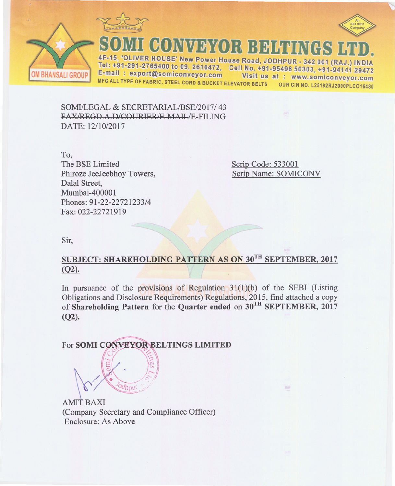



ER HOUSE' New Power House Road, JODHPUR - 342 001 (RAJ.) Tel: +91-291-2765400 to 09, 2610472, Cell No. +91-95496 50303, +91-94141 29472 E-mail: export@somiconveyor.com Visit us at: www.somiconveyor.com MFG ALL TYPE OF FABRIC, STEEL CORD & BUCKET ELEVATOR BELTS **OUR CIN NO. L25192RJ2000PLCO16480** 

 $(0)$   $\mathcal{N}$   $\mathcal{N}$   $\mathcal{N}$   $\mathcal{N}$   $\mathcal{N}$   $\mathcal{N}$   $\mathcal{N}$   $\mathcal{N}$   $\mathcal{N}$ 

SOMI/LEGAL & SECRETARIAL/BSE/2017/43 FAX/REGD.A.D/COURIER/E-MAIL/E-FILING DATE: 12/10/2017

To. The BSE Limited Phiroze JeeJeebhoy Towers, Dalal Street, Mumbai-400001 Phones: 91-22-22721233/4 Fax: 022-22721919

Scrip Code: 533001 Scrip Name: SOMICONV

Sir,

# SUBJECT: SHAREHOLDING PATTERN AS ON 30TH SEPTEMBER, 2017  $(Q2)$ .

In pursuance of the provisions of Regulation  $31(1)(b)$  of the SEBI (Listing Obligations and Disclosure Requirements) Regulations, 2015, find attached a copy of Shareholding Pattern for the Quarter ended on 30<sup>TH</sup> SEPTEMBER, 2017  $(Q2)$ .

For SOMI CONVEYOR BELTINGS LIMITED

**AMIT BAXI** (Company Secretary and Compliance Officer) Enclosure: As Above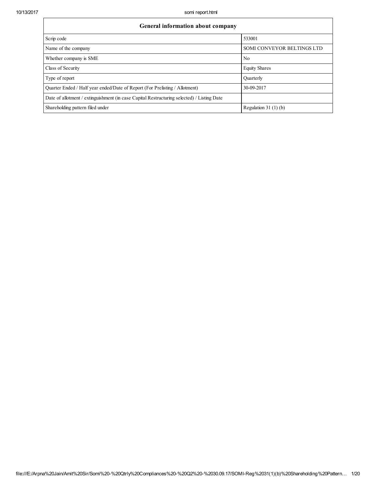| General information about company                                                          |                                   |  |  |  |  |  |
|--------------------------------------------------------------------------------------------|-----------------------------------|--|--|--|--|--|
| Scrip code                                                                                 | 533001                            |  |  |  |  |  |
| Name of the company                                                                        | <b>SOMI CONVEYOR BELTINGS LTD</b> |  |  |  |  |  |
| Whether company is SME                                                                     | N <sub>0</sub>                    |  |  |  |  |  |
| Class of Security                                                                          | <b>Equity Shares</b>              |  |  |  |  |  |
| Type of report                                                                             | Ouarterly                         |  |  |  |  |  |
| Quarter Ended / Half year ended/Date of Report (For Prelisting / Allotment)                | 30-09-2017                        |  |  |  |  |  |
| Date of allotment / extinguishment (in case Capital Restructuring selected) / Listing Date |                                   |  |  |  |  |  |
| Shareholding pattern filed under                                                           | Regulation $31(1)(b)$             |  |  |  |  |  |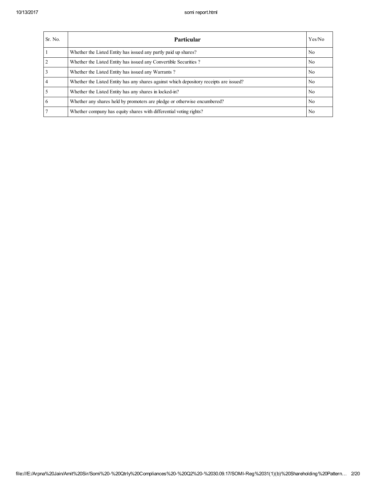| Sr. No. | <b>Particular</b>                                                                      | Yes/No         |
|---------|----------------------------------------------------------------------------------------|----------------|
|         | Whether the Listed Entity has issued any partly paid up shares?                        | No.            |
|         | Whether the Listed Entity has issued any Convertible Securities?                       | No.            |
|         | Whether the Listed Entity has issued any Warrants?                                     | No.            |
|         | Whether the Listed Entity has any shares against which depository receipts are issued? | No.            |
|         | Whether the Listed Entity has any shares in locked-in?                                 | No.            |
| 6       | Whether any shares held by promoters are pledge or otherwise encumbered?               | No.            |
|         | Whether company has equity shares with differential voting rights?                     | N <sub>0</sub> |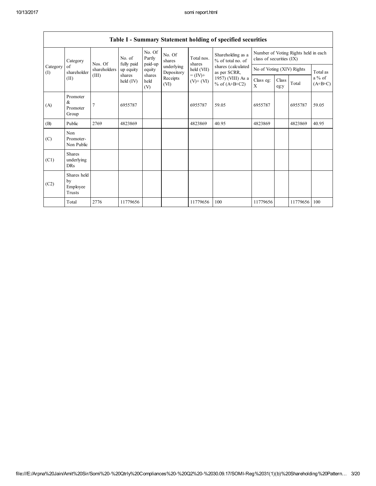$\mathsf{l}$ 

|                 |                                           |                      |                              |                       |                          |                                        | Table 1 - Summary Statement holding of specified securities      |                           |               |          |                                 |
|-----------------|-------------------------------------------|----------------------|------------------------------|-----------------------|--------------------------|----------------------------------------|------------------------------------------------------------------|---------------------------|---------------|----------|---------------------------------|
| Category        | Nos. Of                                   | No. of<br>fully paid | No. Of<br>Partly<br>paid-up  | No. Of<br>shares      | Total nos.<br>shares     | Shareholding as a<br>% of total no. of | Number of Voting Rights held in each<br>class of securities (IX) |                           |               |          |                                 |
| Category<br>(1) | of<br>shareholder                         | shareholders         | up equity                    | equity                | underlying<br>Depository | held (VII)                             | shares (calculated<br>as per SCRR,                               | No of Voting (XIV) Rights |               |          | Total as<br>a % of<br>$(A+B+C)$ |
| (II)            |                                           | (III)                | shares<br>$\text{held (IV)}$ | shares<br>held<br>(V) | Receipts<br>(VI)         | $= (IV) +$<br>$(V)+(VI)$               | 1957) (VIII) As a<br>% of $(A+B+C2)$                             | Class eg:<br>X            | Class<br>eg:y | Total    |                                 |
| (A)             | Promoter<br>&<br>Promoter<br>Group        | 7                    | 6955787                      |                       |                          | 6955787                                | 59.05                                                            | 6955787                   |               | 6955787  | 59.05                           |
| (B)             | Public                                    | 2769                 | 4823869                      |                       |                          | 4823869                                | 40.95                                                            | 4823869                   |               | 4823869  | 40.95                           |
| (C)             | Non<br>Promoter-<br>Non Public            |                      |                              |                       |                          |                                        |                                                                  |                           |               |          |                                 |
| (C1)            | <b>Shares</b><br>underlying<br><b>DRs</b> |                      |                              |                       |                          |                                        |                                                                  |                           |               |          |                                 |
| (C2)            | Shares held<br>by<br>Employee<br>Trusts   |                      |                              |                       |                          |                                        |                                                                  |                           |               |          |                                 |
|                 | Total                                     | 2776                 | 11779656                     |                       |                          | 11779656                               | 100                                                              | 11779656                  |               | 11779656 | 100                             |

|  |  | Table I - Summary Statement holding of specified securities |  |  |  |  |  |
|--|--|-------------------------------------------------------------|--|--|--|--|--|
|--|--|-------------------------------------------------------------|--|--|--|--|--|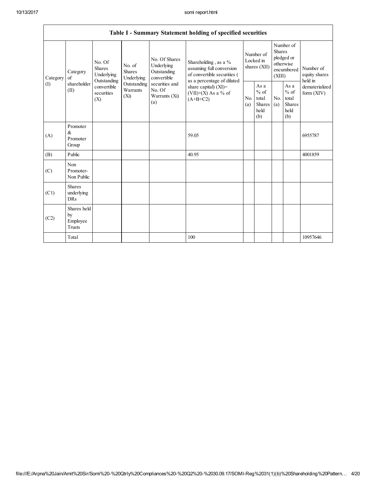|                               |                                           |                                                                                          |                                       |                                                           | Table I - Summary Statement holding of specified securities                                                                                                                     |                                        |                                                         |                                                                               |                                                         |                                       |
|-------------------------------|-------------------------------------------|------------------------------------------------------------------------------------------|---------------------------------------|-----------------------------------------------------------|---------------------------------------------------------------------------------------------------------------------------------------------------------------------------------|----------------------------------------|---------------------------------------------------------|-------------------------------------------------------------------------------|---------------------------------------------------------|---------------------------------------|
| of<br>Category<br>(I)<br>(II) | Category                                  | No. Of<br><b>Shares</b><br>Underlying<br>Outstanding<br>convertible<br>securities<br>(X) | No. of<br><b>Shares</b><br>Underlying | No. Of Shares<br>Underlying<br>Outstanding<br>convertible | Shareholding, as a %<br>assuming full conversion<br>of convertible securities (<br>as a percentage of diluted<br>share capital) $(XI)$ =<br>$(VII)+(X)$ As a % of<br>$(A+B+C2)$ | Number of<br>Locked in<br>shares (XII) |                                                         | Number of<br><b>Shares</b><br>pledged or<br>otherwise<br>encumbered<br>(XIII) |                                                         | Number of<br>equity shares<br>held in |
|                               | shareholder                               |                                                                                          | Outstanding<br>Warrants<br>$(X_i)$    | securities and<br>No. Of<br>Warrants (Xi)<br>(a)          |                                                                                                                                                                                 | N <sub>0</sub><br>(a)                  | As a<br>$%$ of<br>total<br><b>Shares</b><br>held<br>(b) | N <sub>0</sub><br>(a)                                                         | As a<br>$%$ of<br>total<br><b>Shares</b><br>held<br>(b) | dematerialized<br>form $(XIV)$        |
| (A)                           | Promoter<br>$\&$<br>Promoter<br>Group     |                                                                                          |                                       |                                                           | 59.05                                                                                                                                                                           |                                        |                                                         |                                                                               |                                                         | 6955787                               |
| (B)                           | Public                                    |                                                                                          |                                       |                                                           | 40.95                                                                                                                                                                           |                                        |                                                         |                                                                               |                                                         | 4001859                               |
| (C)                           | Non<br>Promoter-<br>Non Public            |                                                                                          |                                       |                                                           |                                                                                                                                                                                 |                                        |                                                         |                                                                               |                                                         |                                       |
| (C1)                          | <b>Shares</b><br>underlying<br><b>DRs</b> |                                                                                          |                                       |                                                           |                                                                                                                                                                                 |                                        |                                                         |                                                                               |                                                         |                                       |
| (C2)                          | Shares held<br>by<br>Employee<br>Trusts   |                                                                                          |                                       |                                                           |                                                                                                                                                                                 |                                        |                                                         |                                                                               |                                                         |                                       |
|                               | Total                                     |                                                                                          |                                       |                                                           | 100                                                                                                                                                                             |                                        |                                                         |                                                                               |                                                         | 10957646                              |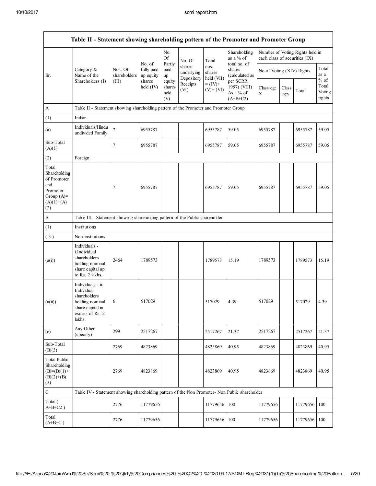$\mathbf{r}$ 

|                                                                                                | Table II - Statement showing shareholding pattern of the Promoter and Promoter Group                                |                         |                                                                                                            |                                                      |                                              |                                       |                                                                       |                                     |  |                                 |               |
|------------------------------------------------------------------------------------------------|---------------------------------------------------------------------------------------------------------------------|-------------------------|------------------------------------------------------------------------------------------------------------|------------------------------------------------------|----------------------------------------------|---------------------------------------|-----------------------------------------------------------------------|-------------------------------------|--|---------------------------------|---------------|
|                                                                                                |                                                                                                                     |                         |                                                                                                            | No.<br><b>Of</b><br>Partly                           | No. Of<br>shares<br>underlying<br>Depository | Total<br>nos.<br>shares<br>held (VII) | Shareholding<br>as a % of<br>total no. of<br>shares<br>(calculated as | each class of securities (IX)       |  | Number of Voting Rights held in |               |
| Category &<br>Name of the<br>Sr.                                                               |                                                                                                                     | Nos. Of<br>shareholders | No. of<br>fully paid<br>up equity                                                                          | paid-<br>up                                          |                                              |                                       |                                                                       | No of Voting (XIV) Rights           |  |                                 | Total<br>as a |
|                                                                                                | Shareholders (I)                                                                                                    | (III)                   | shares<br>equity<br>Receipts<br>$= (IV) +$<br>held (IV)<br>shares<br>$(V)$ + $(VI)$<br>(VI)<br>held<br>(V) | per SCRR,<br>1957) (VIII)<br>As a % of<br>$(A+B+C2)$ | Class eg:<br>X                               | Class<br>eg:y                         | Total                                                                 | $%$ of<br>Total<br>Voting<br>rights |  |                                 |               |
| A                                                                                              | Table II - Statement showing shareholding pattern of the Promoter and Promoter Group                                |                         |                                                                                                            |                                                      |                                              |                                       |                                                                       |                                     |  |                                 |               |
| (1)                                                                                            | Indian                                                                                                              |                         |                                                                                                            |                                                      |                                              |                                       |                                                                       |                                     |  |                                 |               |
| (a)                                                                                            | Individuals/Hindu<br>undivided Family                                                                               | $\boldsymbol{7}$        | 6955787                                                                                                    |                                                      |                                              | 6955787                               | 59.05                                                                 | 6955787                             |  | 6955787                         | 59.05         |
| Sub-Total<br>(A)(1)                                                                            |                                                                                                                     | $\tau$                  | 6955787                                                                                                    |                                                      |                                              | 6955787                               | 59.05                                                                 | 6955787                             |  | 6955787                         | 59.05         |
| (2)                                                                                            | Foreign                                                                                                             |                         |                                                                                                            |                                                      |                                              |                                       |                                                                       |                                     |  |                                 |               |
| Total<br>Shareholding<br>of Promoter<br>and<br>Promoter<br>Group $(A)=$<br>$(A)(1)+(A)$<br>(2) |                                                                                                                     | 7                       | 6955787                                                                                                    |                                                      |                                              | 6955787                               | 59.05                                                                 | 6955787                             |  | 6955787                         | 59.05         |
| $\, {\bf B}$                                                                                   | Table III - Statement showing shareholding pattern of the Public shareholder                                        |                         |                                                                                                            |                                                      |                                              |                                       |                                                                       |                                     |  |                                 |               |
| (1)                                                                                            | Institutions                                                                                                        |                         |                                                                                                            |                                                      |                                              |                                       |                                                                       |                                     |  |                                 |               |
| (3)                                                                                            | Non-institutions                                                                                                    |                         |                                                                                                            |                                                      |                                              |                                       |                                                                       |                                     |  |                                 |               |
| (a(i))                                                                                         | Individuals -<br>i.Individual<br>shareholders<br>holding nominal<br>share capital up<br>to Rs. 2 lakhs.             | 2464                    | 1789573                                                                                                    |                                                      |                                              | 1789573                               | 15.19                                                                 | 1789573                             |  | 1789573                         | 15.19         |
| (a(ii))                                                                                        | Individuals - ii.<br>Individual<br>shareholders<br>holding nominal<br>share capital in<br>excess of Rs. 2<br>lakhs. | 6                       | 517029                                                                                                     |                                                      |                                              | 517029                                | 4.39                                                                  | 517029                              |  | 517029                          | 4.39          |
| (e)                                                                                            | Any Other<br>(specify)                                                                                              | 299                     | 2517267                                                                                                    |                                                      |                                              | 2517267                               | 21.37                                                                 | 2517267                             |  | 2517267                         | 21.37         |
| Sub-Total<br>(B)(3)                                                                            |                                                                                                                     | 2769                    | 4823869                                                                                                    |                                                      |                                              | 4823869                               | 40.95                                                                 | 4823869                             |  | 4823869                         | 40.95         |
| <b>Total Public</b><br>Shareholding<br>$(B)=(B)(1)+$<br>$(B)(2)+(B)$<br>(3)                    |                                                                                                                     | 2769                    | 4823869                                                                                                    |                                                      |                                              | 4823869                               | 40.95                                                                 | 4823869                             |  | 4823869                         | 40.95         |
| $\mathbf C$                                                                                    | Table IV - Statement showing shareholding pattern of the Non Promoter- Non Public shareholder                       |                         |                                                                                                            |                                                      |                                              |                                       |                                                                       |                                     |  |                                 |               |
| Total (<br>$A+B+C2$ )                                                                          |                                                                                                                     | 2776                    | 11779656                                                                                                   |                                                      |                                              | 11779656                              | 100                                                                   | 11779656                            |  | 11779656                        | 100           |
| Total<br>$(A+B+C)$                                                                             |                                                                                                                     | 2776                    | 11779656                                                                                                   |                                                      |                                              | 11779656                              | 100                                                                   | 11779656                            |  | 11779656                        | 100           |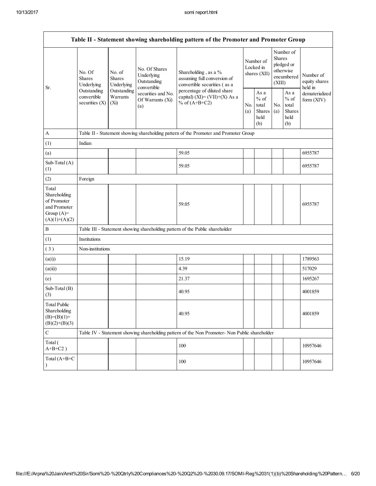|                                                                                         |                                                |                                                                                     |                                                           | Table II - Statement showing shareholding pattern of the Promoter and Promoter Group          |                                        |                                                  |                                                                               |                                                         |                                                                         |
|-----------------------------------------------------------------------------------------|------------------------------------------------|-------------------------------------------------------------------------------------|-----------------------------------------------------------|-----------------------------------------------------------------------------------------------|----------------------------------------|--------------------------------------------------|-------------------------------------------------------------------------------|---------------------------------------------------------|-------------------------------------------------------------------------|
| Sr.                                                                                     | No. Of<br><b>Shares</b><br>Underlying          | No. of<br><b>Shares</b><br>Underlying                                               | No. Of Shares<br>Underlying<br>Outstanding<br>convertible | Shareholding, as a %<br>assuming full conversion of<br>convertible securities (as a           | Number of<br>Locked in<br>shares (XII) |                                                  | Number of<br><b>Shares</b><br>pledged or<br>otherwise<br>encumbered<br>(XIII) |                                                         | Number of<br>equity shares<br>held in<br>dematerialized<br>form $(XIV)$ |
|                                                                                         | Outstanding<br>convertible<br>securities $(X)$ | Outstanding<br>securities and No.<br>Warrants<br>Of Warrants (Xi)<br>$(X_i)$<br>(a) |                                                           | percentage of diluted share<br>capital) (XI)= $(VII)+(X)$ As a<br>% of $(A+B+C2)$             |                                        | As a<br>$%$ of<br>total<br>Shares<br>held<br>(b) | No.<br>(a)                                                                    | As a<br>$%$ of<br>total<br><b>Shares</b><br>held<br>(b) |                                                                         |
| A                                                                                       |                                                |                                                                                     |                                                           | Table II - Statement showing shareholding pattern of the Promoter and Promoter Group          |                                        |                                                  |                                                                               |                                                         |                                                                         |
| (1)                                                                                     | Indian                                         |                                                                                     |                                                           |                                                                                               |                                        |                                                  |                                                                               |                                                         |                                                                         |
| (a)                                                                                     |                                                |                                                                                     |                                                           | 59.05                                                                                         |                                        |                                                  |                                                                               |                                                         | 6955787                                                                 |
| Sub-Total (A)<br>(1)                                                                    |                                                |                                                                                     |                                                           | 59.05                                                                                         |                                        |                                                  |                                                                               |                                                         | 6955787                                                                 |
| (2)                                                                                     | Foreign                                        |                                                                                     |                                                           |                                                                                               |                                        |                                                  |                                                                               |                                                         |                                                                         |
| Total<br>Shareholding<br>of Promoter<br>and Promoter<br>Group $(A)=$<br>$(A)(1)+(A)(2)$ |                                                |                                                                                     |                                                           | 59.05                                                                                         |                                        |                                                  |                                                                               |                                                         | 6955787                                                                 |
| $\, {\bf B}$                                                                            |                                                |                                                                                     |                                                           | Table III - Statement showing shareholding pattern of the Public shareholder                  |                                        |                                                  |                                                                               |                                                         |                                                                         |
| (1)                                                                                     | Institutions                                   |                                                                                     |                                                           |                                                                                               |                                        |                                                  |                                                                               |                                                         |                                                                         |
| (3)                                                                                     | Non-institutions                               |                                                                                     |                                                           |                                                                                               |                                        |                                                  |                                                                               |                                                         |                                                                         |
| (a(i))                                                                                  |                                                |                                                                                     |                                                           | 15.19                                                                                         |                                        |                                                  |                                                                               |                                                         | 1789563                                                                 |
| (a(ii))                                                                                 |                                                |                                                                                     |                                                           | 4.39                                                                                          |                                        |                                                  |                                                                               |                                                         | 517029                                                                  |
| (e)                                                                                     |                                                |                                                                                     |                                                           | 21.37                                                                                         |                                        |                                                  |                                                                               |                                                         | 1695267                                                                 |
| Sub-Total (B)<br>(3)                                                                    |                                                |                                                                                     |                                                           | 40.95                                                                                         |                                        |                                                  |                                                                               |                                                         | 4001859                                                                 |
| <b>Total Public</b><br>Shareholding<br>$(B)= (B)(1) +$<br>$(B)(2)+(B)(3)$               |                                                |                                                                                     |                                                           | 40.95                                                                                         |                                        |                                                  |                                                                               |                                                         | 4001859                                                                 |
| $\mathbf C$                                                                             |                                                |                                                                                     |                                                           | Table IV - Statement showing shareholding pattern of the Non Promoter- Non Public shareholder |                                        |                                                  |                                                                               |                                                         |                                                                         |
| Total (<br>$A+B+C2$ )                                                                   |                                                |                                                                                     |                                                           | 100                                                                                           |                                        |                                                  |                                                                               |                                                         | 10957646                                                                |
| Total (A+B+C                                                                            |                                                |                                                                                     |                                                           | 100                                                                                           |                                        |                                                  |                                                                               |                                                         | 10957646                                                                |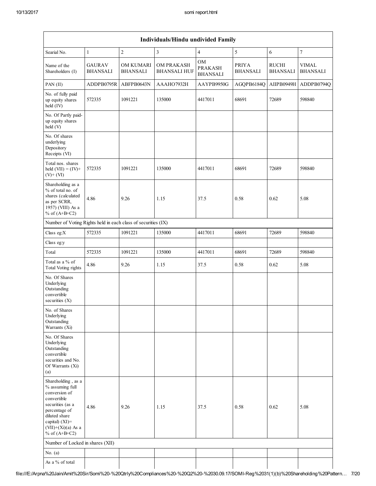| Individuals/Hindu undivided Family                                                                                                                                                          |                                  |                                     |                                   |                                                |                                 |                                 |                                 |  |
|---------------------------------------------------------------------------------------------------------------------------------------------------------------------------------------------|----------------------------------|-------------------------------------|-----------------------------------|------------------------------------------------|---------------------------------|---------------------------------|---------------------------------|--|
| Searial No.                                                                                                                                                                                 | $\mathbf{1}$                     | $\overline{c}$                      | 3                                 | $\overline{4}$                                 | 5                               | 6                               | $\overline{7}$                  |  |
| Name of the<br>Shareholders (I)                                                                                                                                                             | <b>GAURAV</b><br><b>BHANSALI</b> | <b>OM KUMARI</b><br><b>BHANSALI</b> | OM PRAKASH<br><b>BHANSALI HUF</b> | <b>OM</b><br><b>PRAKASH</b><br><b>BHANSALI</b> | <b>PRIYA</b><br><b>BHANSALI</b> | <b>RUCHI</b><br><b>BHANSALI</b> | <b>VIMAL</b><br><b>BHANSALI</b> |  |
| PAN (II)                                                                                                                                                                                    | ADDPB0795R                       | ABFPB0643N                          | AAAHO7932H                        | AAYPB9950G                                     | AGQPB6184Q                      | AIIPB0949H                      | ADDPB0794Q                      |  |
| No. of fully paid<br>up equity shares<br>held (IV)                                                                                                                                          | 572335                           | 1091221                             | 135000                            | 4417011                                        | 68691                           | 72689                           | 598840                          |  |
| No. Of Partly paid-<br>up equity shares<br>held (V)                                                                                                                                         |                                  |                                     |                                   |                                                |                                 |                                 |                                 |  |
| No. Of shares<br>underlying<br>Depository<br>Receipts (VI)                                                                                                                                  |                                  |                                     |                                   |                                                |                                 |                                 |                                 |  |
| Total nos. shares<br>held $(VII) = (IV) +$<br>$(V)+(VI)$                                                                                                                                    | 572335                           | 1091221                             | 135000                            | 4417011                                        | 68691                           | 72689                           | 598840                          |  |
| Shareholding as a<br>% of total no. of<br>shares (calculated<br>as per SCRR,<br>1957) (VIII) As a<br>% of $(A+B+C2)$                                                                        | 4.86                             | 9.26                                | 1.15                              | 37.5                                           | 0.58                            | 0.62                            | 5.08                            |  |
| Number of Voting Rights held in each class of securities (IX)                                                                                                                               |                                  |                                     |                                   |                                                |                                 |                                 |                                 |  |
| Class eg: $X$                                                                                                                                                                               | 572335                           | 1091221                             | 135000                            | 4417011                                        | 68691                           | 72689                           | 598840                          |  |
| Class eg:y                                                                                                                                                                                  |                                  |                                     |                                   |                                                |                                 |                                 |                                 |  |
| Total                                                                                                                                                                                       | 572335                           | 1091221                             | 135000                            | 4417011                                        | 68691                           | 72689                           | 598840                          |  |
| Total as a % of<br><b>Total Voting rights</b>                                                                                                                                               | 4.86                             | 9.26                                | 1.15                              | 37.5                                           | 0.58                            | 0.62                            | 5.08                            |  |
| No. Of Shares<br>Underlying<br>Outstanding<br>convertible<br>securities $(X)$                                                                                                               |                                  |                                     |                                   |                                                |                                 |                                 |                                 |  |
| No. of Shares<br>Underlying<br>Outstanding<br>Warrants (Xi)                                                                                                                                 |                                  |                                     |                                   |                                                |                                 |                                 |                                 |  |
| No. Of Shares<br>Underlying<br>Outstanding<br>convertible<br>securities and No.<br>Of Warrants (Xi)<br>(a)                                                                                  |                                  |                                     |                                   |                                                |                                 |                                 |                                 |  |
| Shareholding, as a<br>% assuming full<br>conversion of<br>convertible<br>securities (as a<br>percentage of<br>diluted share<br>capital) $(XI)$ =<br>$(VII)+(Xi)(a)$ As a<br>% of $(A+B+C2)$ | 4.86                             | 9.26                                | 1.15                              | 37.5                                           | 0.58                            | 0.62                            | 5.08                            |  |
| Number of Locked in shares (XII)                                                                                                                                                            |                                  |                                     |                                   |                                                |                                 |                                 |                                 |  |
| No. $(a)$                                                                                                                                                                                   |                                  |                                     |                                   |                                                |                                 |                                 |                                 |  |
| As a % of total                                                                                                                                                                             |                                  |                                     |                                   |                                                |                                 |                                 |                                 |  |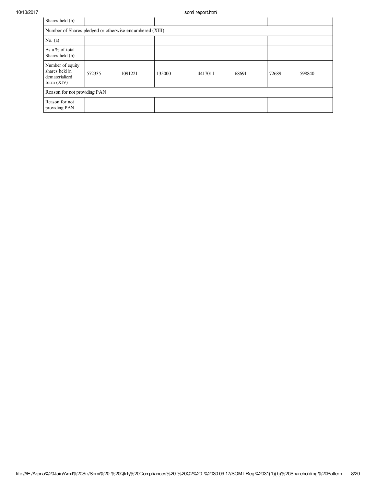## 10/13/2017 somi report.html

| Shares held (b)                                                      |        |         |        |         |       |       |        |
|----------------------------------------------------------------------|--------|---------|--------|---------|-------|-------|--------|
| Number of Shares pledged or otherwise encumbered (XIII)              |        |         |        |         |       |       |        |
| No. $(a)$                                                            |        |         |        |         |       |       |        |
| As a % of total<br>Shares held (b)                                   |        |         |        |         |       |       |        |
| Number of equity<br>shares held in<br>dematerialized<br>form $(XIV)$ | 572335 | 1091221 | 135000 | 4417011 | 68691 | 72689 | 598840 |
| Reason for not providing PAN                                         |        |         |        |         |       |       |        |
| Reason for not<br>providing PAN                                      |        |         |        |         |       |       |        |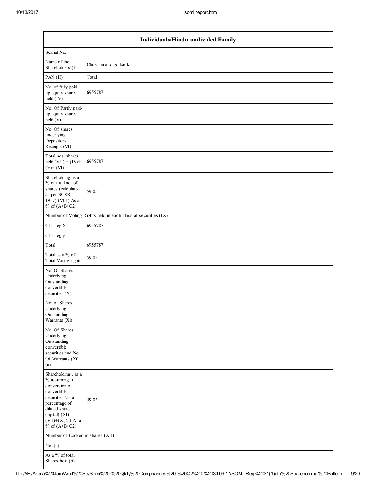|                                                                                                                                                                                          | Individuals/Hindu undivided Family                            |
|------------------------------------------------------------------------------------------------------------------------------------------------------------------------------------------|---------------------------------------------------------------|
| Searial No.                                                                                                                                                                              |                                                               |
| Name of the<br>Shareholders (I)                                                                                                                                                          | Click here to go back                                         |
| PAN(II)                                                                                                                                                                                  | Total                                                         |
| No. of fully paid<br>up equity shares<br>held (IV)                                                                                                                                       | 6955787                                                       |
| No. Of Partly paid-<br>up equity shares<br>held (V)                                                                                                                                      |                                                               |
| No. Of shares<br>underlying<br>Depository<br>Receipts (VI)                                                                                                                               |                                                               |
| Total nos. shares<br>held $(VII) = (IV) +$<br>$(V)$ + $(VI)$                                                                                                                             | 6955787                                                       |
| Shareholding as a<br>% of total no. of<br>shares (calculated<br>as per SCRR,<br>1957) (VIII) As a<br>% of $(A+B+C2)$                                                                     | 59.05                                                         |
|                                                                                                                                                                                          | Number of Voting Rights held in each class of securities (IX) |
| Class eg: $X$                                                                                                                                                                            | 6955787                                                       |
| Class eg:y                                                                                                                                                                               |                                                               |
| Total                                                                                                                                                                                    | 6955787                                                       |
| Total as a % of<br>Total Voting rights                                                                                                                                                   | 59.05                                                         |
| No. Of Shares<br>Underlying<br>Outstanding<br>convertible<br>securities $(X)$                                                                                                            |                                                               |
| No. of Shares<br>Underlying<br>Outstanding<br>Warrants (Xi)                                                                                                                              |                                                               |
| No. Of Shares<br>Underlying<br>Outstanding<br>convertible<br>securities and No.<br>Of Warrants (Xi)<br>(a)                                                                               |                                                               |
| Shareholding, as a<br>% assuming full<br>conversion of<br>convertible<br>securities (as a<br>percentage of<br>diluted share<br>capital) (XI)=<br>$(VII)+(Xi)(a)$ As a<br>% of $(A+B+C2)$ | 59.05                                                         |
| Number of Locked in shares (XII)                                                                                                                                                         |                                                               |
| No. $(a)$                                                                                                                                                                                |                                                               |
| As a % of total<br>Shares held (b)                                                                                                                                                       |                                                               |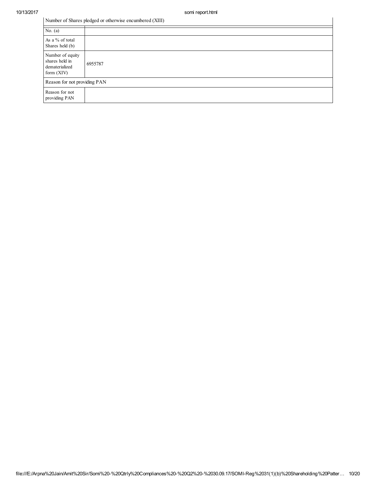| Number of Shares pledged or otherwise encumbered (XIII) |  |
|---------------------------------------------------------|--|
|---------------------------------------------------------|--|

|                                                                      | Number of Shares pledged or otherwise encumbered (XIII) |  |  |  |  |  |
|----------------------------------------------------------------------|---------------------------------------------------------|--|--|--|--|--|
| No. $(a)$                                                            |                                                         |  |  |  |  |  |
| As a % of total<br>Shares held (b)                                   |                                                         |  |  |  |  |  |
| Number of equity<br>shares held in<br>dematerialized<br>form $(XIV)$ | 6955787                                                 |  |  |  |  |  |
| Reason for not providing PAN                                         |                                                         |  |  |  |  |  |
| Reason for not<br>providing PAN                                      |                                                         |  |  |  |  |  |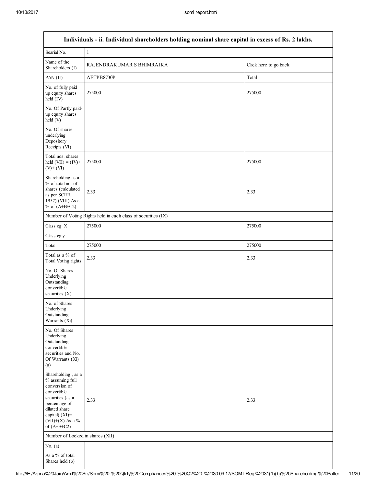| Individuals - ii. Individual shareholders holding nominal share capital in excess of Rs. 2 lakhs.                                                                                     |                                                               |                       |  |  |  |
|---------------------------------------------------------------------------------------------------------------------------------------------------------------------------------------|---------------------------------------------------------------|-----------------------|--|--|--|
| Searial No.                                                                                                                                                                           | $\mathbf{1}$                                                  |                       |  |  |  |
| Name of the<br>Shareholders (I)                                                                                                                                                       | RAJENDRAKUMAR S BHIMRAJKA                                     | Click here to go back |  |  |  |
| PAN(II)                                                                                                                                                                               | AETPB8730P                                                    | Total                 |  |  |  |
| No. of fully paid<br>up equity shares<br>held (IV)                                                                                                                                    | 275000                                                        | 275000                |  |  |  |
| No. Of Partly paid-<br>up equity shares<br>held(V)                                                                                                                                    |                                                               |                       |  |  |  |
| No. Of shares<br>underlying<br>Depository<br>Receipts (VI)                                                                                                                            |                                                               |                       |  |  |  |
| Total nos. shares<br>held $(VII) = (IV) +$<br>$(V)+(VI)$                                                                                                                              | 275000                                                        | 275000                |  |  |  |
| Shareholding as a<br>% of total no. of<br>shares (calculated<br>as per SCRR,<br>1957) (VIII) As a<br>% of $(A+B+C2)$                                                                  | 2.33                                                          | 2.33                  |  |  |  |
|                                                                                                                                                                                       | Number of Voting Rights held in each class of securities (IX) |                       |  |  |  |
| Class eg: X                                                                                                                                                                           | 275000                                                        | 275000                |  |  |  |
| Class eg:y                                                                                                                                                                            |                                                               |                       |  |  |  |
| Total                                                                                                                                                                                 | 275000                                                        | 275000                |  |  |  |
| Total as a % of<br><b>Total Voting rights</b>                                                                                                                                         | 2.33                                                          | 2.33                  |  |  |  |
| No. Of Shares<br>Underlying<br>Outstanding<br>convertible<br>securities $(X)$                                                                                                         |                                                               |                       |  |  |  |
| No. of Shares<br>Underlying<br>Outstanding<br>Warrants (Xi)                                                                                                                           |                                                               |                       |  |  |  |
| No. Of Shares<br>Underlying<br>Outstanding<br>convertible<br>securities and No.<br>Of Warrants (Xi)<br>(a)                                                                            |                                                               |                       |  |  |  |
| Shareholding, as a<br>% assuming full<br>conversion of<br>convertible<br>securities (as a<br>percentage of<br>diluted share<br>capital) $(XI)$ =<br>(VII)+(X) As a %<br>of $(A+B+C2)$ | 2.33                                                          | 2.33                  |  |  |  |
| Number of Locked in shares (XII)                                                                                                                                                      |                                                               |                       |  |  |  |
| No. $(a)$                                                                                                                                                                             |                                                               |                       |  |  |  |
| As a % of total<br>Shares held (b)                                                                                                                                                    |                                                               |                       |  |  |  |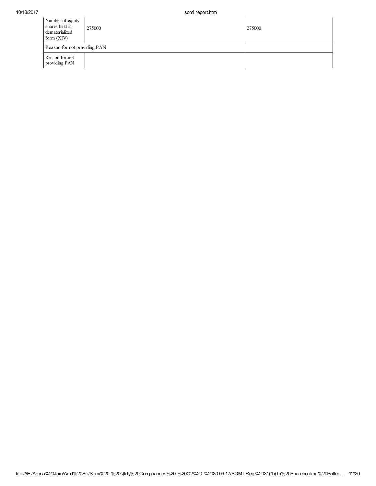| Number of equity<br>shares held in<br>dematerialized<br>form $(XIV)$ | 275000 | 275000 |
|----------------------------------------------------------------------|--------|--------|
| Reason for not providing PAN                                         |        |        |
| Reason for not<br>providing PAN                                      |        |        |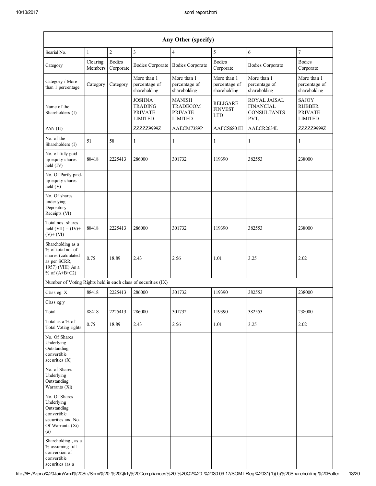|                                                                                                                      |                     |                            |                                                                     | Any Other (specify)                                                  |                                                 |                                                                |                                                            |
|----------------------------------------------------------------------------------------------------------------------|---------------------|----------------------------|---------------------------------------------------------------------|----------------------------------------------------------------------|-------------------------------------------------|----------------------------------------------------------------|------------------------------------------------------------|
| Searial No.                                                                                                          | $\mathbf{1}$        | $\overline{2}$             | $\overline{3}$                                                      | $\overline{4}$                                                       | 5                                               | 6                                                              | $\overline{7}$                                             |
| Category                                                                                                             | Clearing<br>Members | <b>Bodies</b><br>Corporate | <b>Bodies Corporate</b>                                             | <b>Bodies Corporate</b>                                              | <b>Bodies</b><br>Corporate                      | <b>Bodies Corporate</b>                                        | <b>Bodies</b><br>Corporate                                 |
| Category / More<br>than 1 percentage                                                                                 | Category            | Category                   | More than 1<br>percentage of<br>shareholding                        | More than 1<br>percentage of<br>shareholding                         | More than 1<br>percentage of<br>shareholding    | More than 1<br>percentage of<br>shareholding                   | More than 1<br>percentage of<br>shareholding               |
| Name of the<br>Shareholders (I)                                                                                      |                     |                            | <b>JOSHNA</b><br><b>TRADING</b><br><b>PRIVATE</b><br><b>LIMITED</b> | <b>MANISH</b><br><b>TRADECOM</b><br><b>PRIVATE</b><br><b>LIMITED</b> | <b>RELIGARE</b><br><b>FINVEST</b><br><b>LTD</b> | ROYAL JAISAL<br><b>FINANCIAL</b><br><b>CONSULTANTS</b><br>PVT. | SAJOY<br><b>RUBBER</b><br><b>PRIVATE</b><br><b>LIMITED</b> |
| PAN (II)                                                                                                             |                     |                            | ZZZZZ9999Z                                                          | AAECM7389P                                                           | AAFCS6801H                                      | AAECR2634L                                                     | ZZZZZ9999Z                                                 |
| No. of the<br>Shareholders (I)                                                                                       | 51                  | 58                         | 1                                                                   | 1                                                                    | 1                                               | 1                                                              | $\mathbf{1}$                                               |
| No. of fully paid<br>up equity shares<br>held (IV)                                                                   | 88418               | 2225413                    | 286000                                                              | 301732                                                               | 119390                                          | 382553                                                         | 238000                                                     |
| No. Of Partly paid-<br>up equity shares<br>held (V)                                                                  |                     |                            |                                                                     |                                                                      |                                                 |                                                                |                                                            |
| No. Of shares<br>underlying<br>Depository<br>Receipts (VI)                                                           |                     |                            |                                                                     |                                                                      |                                                 |                                                                |                                                            |
| Total nos. shares<br>held $(VII) = (IV) +$<br>$(V)$ + $(VI)$                                                         | 88418               | 2225413                    | 286000                                                              | 301732                                                               | 119390                                          | 382553                                                         | 238000                                                     |
| Shareholding as a<br>% of total no. of<br>shares (calculated<br>as per SCRR,<br>1957) (VIII) As a<br>% of $(A+B+C2)$ | 0.75                | 18.89                      | 2.43                                                                | 2.56                                                                 | 1.01                                            | 3.25                                                           | 2.02                                                       |
| Number of Voting Rights held in each class of securities (IX)                                                        |                     |                            |                                                                     |                                                                      |                                                 |                                                                |                                                            |
| Class eg: X                                                                                                          | 88418               | 2225413                    | 286000                                                              | 301732                                                               | 119390                                          | 382553                                                         | 238000                                                     |
| Class eg:y                                                                                                           |                     |                            |                                                                     |                                                                      |                                                 |                                                                |                                                            |
| Total                                                                                                                | 88418               | 2225413                    | 286000                                                              | 301732                                                               | 119390                                          | 382553                                                         | 238000                                                     |
| Total as a % of<br><b>Total Voting rights</b>                                                                        | 0.75                | 18.89                      | 2.43                                                                | 2.56                                                                 | 1.01                                            | 3.25                                                           | 2.02                                                       |
| No. Of Shares<br>Underlying<br>Outstanding<br>convertible<br>securities $(X)$                                        |                     |                            |                                                                     |                                                                      |                                                 |                                                                |                                                            |
| No. of Shares<br>Underlying<br>Outstanding<br>Warrants (Xi)                                                          |                     |                            |                                                                     |                                                                      |                                                 |                                                                |                                                            |
| No. Of Shares<br>Underlying<br>Outstanding<br>convertible<br>securities and No.<br>Of Warrants (Xi)<br>(a)           |                     |                            |                                                                     |                                                                      |                                                 |                                                                |                                                            |
| Shareholding, as a<br>% assuming full<br>conversion of<br>convertible<br>securities (as a                            |                     |                            |                                                                     |                                                                      |                                                 |                                                                |                                                            |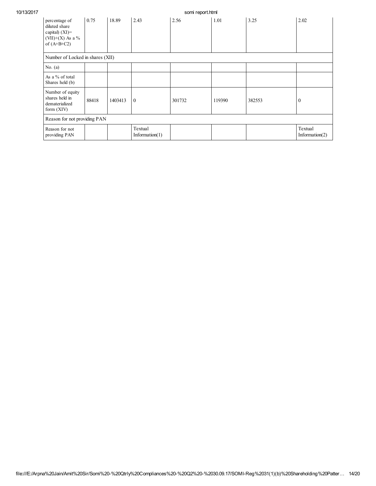| 10/13/2017 | somi report.html                                                                        |                              |         |                              |        |        |        |                              |  |
|------------|-----------------------------------------------------------------------------------------|------------------------------|---------|------------------------------|--------|--------|--------|------------------------------|--|
|            | percentage of<br>diluted share<br>capital) (XI)=<br>$(VII)+(X)$ As a %<br>of $(A+B+C2)$ | 0.75                         | 18.89   | 2.43                         | 2.56   | 1.01   | 3.25   | 2.02                         |  |
|            | Number of Locked in shares (XII)                                                        |                              |         |                              |        |        |        |                              |  |
|            | No. $(a)$                                                                               |                              |         |                              |        |        |        |                              |  |
|            | As a % of total<br>Shares held (b)                                                      |                              |         |                              |        |        |        |                              |  |
|            | Number of equity<br>shares held in<br>dematerialized<br>form $(XIV)$                    | 88418                        | 1403413 | $\mathbf{0}$                 | 301732 | 119390 | 382553 | $\mathbf{0}$                 |  |
|            |                                                                                         | Reason for not providing PAN |         |                              |        |        |        |                              |  |
|            | Reason for not<br>providing PAN                                                         |                              |         | Textual<br>Information $(1)$ |        |        |        | Textual<br>Information $(2)$ |  |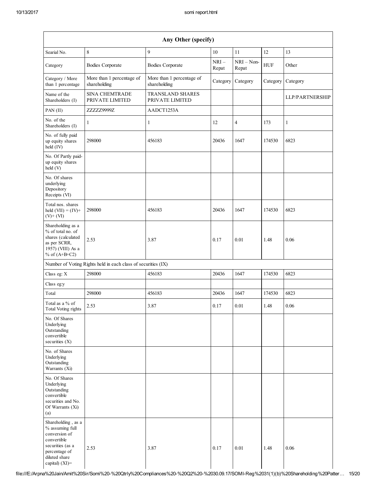|                                                                                                                                               |                                                               | Any Other (specify)                        |                 |                       |            |                 |
|-----------------------------------------------------------------------------------------------------------------------------------------------|---------------------------------------------------------------|--------------------------------------------|-----------------|-----------------------|------------|-----------------|
| Searial No.                                                                                                                                   | $\,$ 8 $\,$                                                   | 9                                          | 10              | 11                    | 12         | 13              |
| Category                                                                                                                                      | <b>Bodies Corporate</b>                                       | <b>Bodies Corporate</b>                    | $NRI-$<br>Repat | $NRI - Non-$<br>Repat | <b>HUF</b> | Other           |
| Category / More<br>than 1 percentage                                                                                                          | More than 1 percentage of<br>shareholding                     | More than 1 percentage of<br>shareholding  | Category        | Category              | Category   | Category        |
| Name of the<br>Shareholders (I)                                                                                                               | <b>SINA CHEMTRADE</b><br>PRIVATE LIMITED                      | <b>TRANSLAND SHARES</b><br>PRIVATE LIMITED |                 |                       |            | LLP/PARTNERSHIP |
| PAN (II)                                                                                                                                      | ZZZZZ9999Z                                                    | AADCT1253A                                 |                 |                       |            |                 |
| No. of the<br>Shareholders (I)                                                                                                                | $\mathbf{1}$                                                  | 1                                          | 12              | 4                     | 173        | 1               |
| No. of fully paid<br>up equity shares<br>held (IV)                                                                                            | 298000                                                        | 456183                                     | 20436           | 1647                  | 174530     | 6823            |
| No. Of Partly paid-<br>up equity shares<br>held (V)                                                                                           |                                                               |                                            |                 |                       |            |                 |
| No. Of shares<br>underlying<br>Depository<br>Receipts (VI)                                                                                    |                                                               |                                            |                 |                       |            |                 |
| Total nos. shares<br>held $(VII) = (IV) +$<br>$(V)$ + $(VI)$                                                                                  | 298000                                                        | 456183                                     | 20436           | 1647                  | 174530     | 6823            |
| Shareholding as a<br>% of total no. of<br>shares (calculated<br>as per SCRR,<br>1957) (VIII) As a<br>% of $(A+B+C2)$                          | 2.53                                                          | 3.87                                       | 0.17            | 0.01                  | 1.48       | 0.06            |
|                                                                                                                                               | Number of Voting Rights held in each class of securities (IX) |                                            |                 |                       |            |                 |
| Class eg: X                                                                                                                                   | 298000                                                        | 456183                                     | 20436           | 1647                  | 174530     | 6823            |
| Class eg:y                                                                                                                                    |                                                               |                                            |                 |                       |            |                 |
| Total                                                                                                                                         | 298000                                                        | 456183                                     | 20436           | 1647                  | 174530     | 6823            |
| Total as a % of<br><b>Total Voting rights</b>                                                                                                 | 2.53                                                          | 3.87                                       | 0.17            | 0.01                  | 1.48       | 0.06            |
| No. Of Shares<br>Underlying<br>Outstanding<br>convertible<br>securities $(X)$                                                                 |                                                               |                                            |                 |                       |            |                 |
| No. of Shares<br>Underlying<br>Outstanding<br>Warrants (Xi)                                                                                   |                                                               |                                            |                 |                       |            |                 |
| No. Of Shares<br>Underlying<br>Outstanding<br>convertible<br>securities and No.<br>Of Warrants (Xi)<br>(a)                                    |                                                               |                                            |                 |                       |            |                 |
| Shareholding, as a<br>% assuming full<br>conversion of<br>convertible<br>securities (as a<br>percentage of<br>diluted share<br>capital) (XI)= | 2.53                                                          | 3.87                                       | 0.17            | 0.01                  | 1.48       | 0.06            |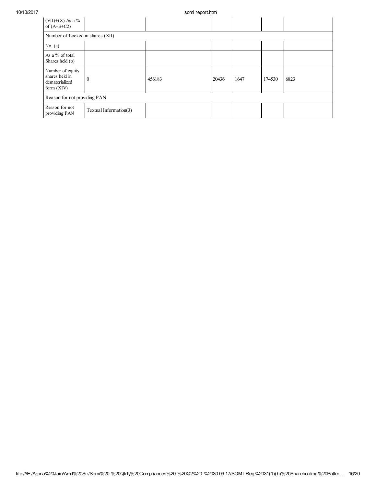| (VII)+(X) As a $%$<br>of $(A+B+C2)$                                  |                        |        |       |      |        |      |
|----------------------------------------------------------------------|------------------------|--------|-------|------|--------|------|
| Number of Locked in shares (XII)                                     |                        |        |       |      |        |      |
| No. $(a)$                                                            |                        |        |       |      |        |      |
| As a % of total<br>Shares held (b)                                   |                        |        |       |      |        |      |
| Number of equity<br>shares held in<br>dematerialized<br>form $(XIV)$ | $\mathbf{0}$           | 456183 | 20436 | 1647 | 174530 | 6823 |
| Reason for not providing PAN                                         |                        |        |       |      |        |      |
| Reason for not<br>providing PAN                                      | Textual Information(3) |        |       |      |        |      |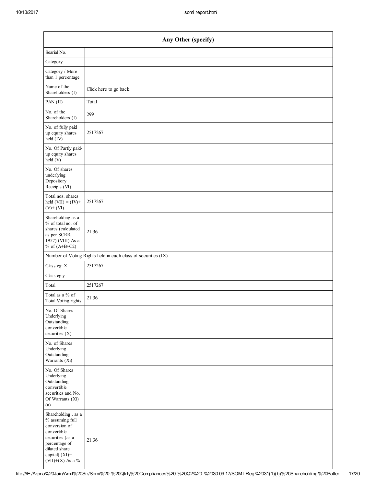| Any Other (specify)                                                                                                                                                    |                                                               |  |  |  |
|------------------------------------------------------------------------------------------------------------------------------------------------------------------------|---------------------------------------------------------------|--|--|--|
| Searial No.                                                                                                                                                            |                                                               |  |  |  |
| Category                                                                                                                                                               |                                                               |  |  |  |
| Category / More<br>than 1 percentage                                                                                                                                   |                                                               |  |  |  |
| Name of the<br>Shareholders (I)                                                                                                                                        | Click here to go back                                         |  |  |  |
| PAN (II)                                                                                                                                                               | Total                                                         |  |  |  |
| No. of the<br>Shareholders (I)                                                                                                                                         | 299                                                           |  |  |  |
| No. of fully paid<br>up equity shares<br>held (IV)                                                                                                                     | 2517267                                                       |  |  |  |
| No. Of Partly paid-<br>up equity shares<br>$\text{held}(V)$                                                                                                            |                                                               |  |  |  |
| No. Of shares<br>underlying<br>Depository<br>Receipts (VI)                                                                                                             |                                                               |  |  |  |
| Total nos. shares<br>held $(VII) = (IV) +$<br>$(V)$ + $(VI)$                                                                                                           | 2517267                                                       |  |  |  |
| Shareholding as a<br>% of total no. of<br>shares (calculated<br>as per SCRR,<br>1957) (VIII) As a<br>% of $(A+B+C2)$                                                   | 21.36                                                         |  |  |  |
|                                                                                                                                                                        | Number of Voting Rights held in each class of securities (IX) |  |  |  |
| Class eg: X                                                                                                                                                            | 2517267                                                       |  |  |  |
| Class eg:y                                                                                                                                                             |                                                               |  |  |  |
| Total                                                                                                                                                                  | 2517267                                                       |  |  |  |
| Total as a $\%$ of<br><b>Total Voting rights</b>                                                                                                                       | 21.36                                                         |  |  |  |
| No. Of Shares<br>Underlying<br>Outstanding<br>convertible<br>securities (X)                                                                                            |                                                               |  |  |  |
| No. of Shares<br>Underlying<br>Outstanding<br>Warrants (Xi)                                                                                                            |                                                               |  |  |  |
| No. Of Shares<br>Underlying<br>Outstanding<br>convertible<br>securities and No.<br>Of Warrants (Xi)<br>(a)                                                             |                                                               |  |  |  |
| Shareholding, as a<br>$\%$ assuming full<br>conversion of<br>convertible<br>securities (as a<br>percentage of<br>diluted share<br>capital) (XI)=<br>$(VII)+(X)$ As a % | 21.36                                                         |  |  |  |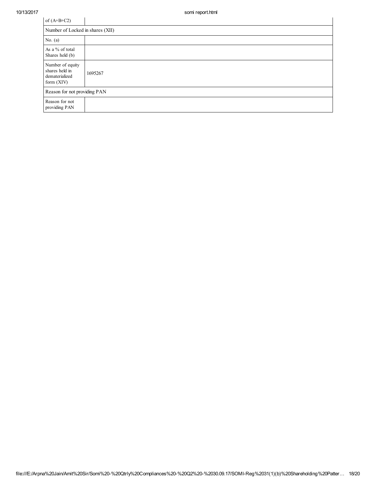| of $(A+B+C2)$                                                        |                                  |  |  |  |  |
|----------------------------------------------------------------------|----------------------------------|--|--|--|--|
|                                                                      | Number of Locked in shares (XII) |  |  |  |  |
| No. $(a)$                                                            |                                  |  |  |  |  |
| As a % of total<br>Shares held (b)                                   |                                  |  |  |  |  |
| Number of equity<br>shares held in<br>dematerialized<br>form $(XIV)$ | 1695267                          |  |  |  |  |
| Reason for not providing PAN                                         |                                  |  |  |  |  |
| Reason for not<br>providing PAN                                      |                                  |  |  |  |  |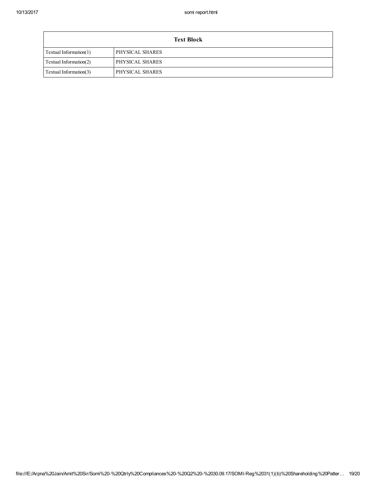| <b>Text Block</b>      |                 |  |  |  |
|------------------------|-----------------|--|--|--|
| Textual Information(1) | PHYSICAL SHARES |  |  |  |
| Textual Information(2) | PHYSICAL SHARES |  |  |  |
| Textual Information(3) | PHYSICAL SHARES |  |  |  |